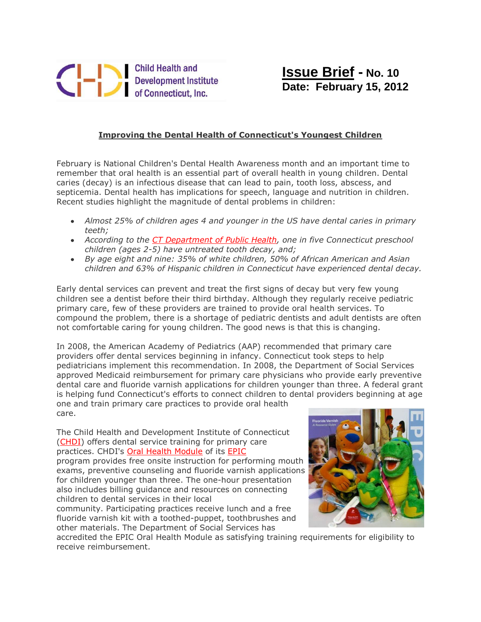

## **Improving the Dental Health of Connecticut's Youngest Children**

February is National Children's Dental Health Awareness month and an important time to remember that oral health is an essential part of overall health in young children. Dental caries (decay) is an infectious disease that can lead to pain, tooth loss, abscess, and septicemia. Dental health has implications for speech, language and nutrition in children. Recent studies highlight the magnitude of dental problems in children:

- *Almost 25% of children ages 4 and younger in the US have dental caries in primary teeth;*
- *According to the [CT Department of Public Health,](http://www.ct.gov/dph/cwp/view.asp?a=3125&q=399156) one in five Connecticut preschool children (ages 2-5) have untreated tooth decay, and;*
- *By age eight and nine: 35% of white children, 50% of African American and Asian children and 63% of Hispanic children in Connecticut have experienced dental decay.*

Early dental services can prevent and treat the first signs of decay but very few young children see a dentist before their third birthday. Although they regularly receive pediatric primary care, few of these providers are trained to provide oral health services. To compound the problem, there is a shortage of pediatric dentists and adult dentists are often not comfortable caring for young children. The good news is that this is changing.

In 2008, the American Academy of Pediatrics (AAP) recommended that primary care providers offer dental services beginning in infancy. Connecticut took steps to help pediatricians implement this recommendation. In 2008, the Department of Social Services approved Medicaid reimbursement for primary care physicians who provide early preventive dental care and fluoride varnish applications for children younger than three. A federal grant is helping fund Connecticut's efforts to connect children to dental providers beginning at age one and train primary care practices to provide oral health care.

The Child Health and Development Institute of Connecticut [\(CHDI\)](http://r20.rs6.net/tn.jsp?llr=s7quz7dab&et=1109307773233&s=0&e=0011gYR22869eDbk1A4465OuAXpHuOLHtZkrhVuVPxHWSdeXy4sUIEIiP1Ck-W9yLtzY-CPIvuLsOYYC8Lb9mVRvRrgz7PksTcwEm5muhnfquM=) offers dental service training for primary care practices. CHDI's [Oral Health Module](http://r20.rs6.net/tn.jsp?llr=s7quz7dab&et=1109307773233&s=0&e=0011gYR22869eDbk1A4465OuAXpHuOLHtZkrhVuVPxHWSdeXy4sUIEIiP1Ck-W9yLtzY-CPIvuLsOYYC8Lb9mVRvRrgz7PksTcwMYWJJLDlimzZwTDo6l7zcyNneMKypyd4Bp_tGzeCToYyhorr0aHSmInTcezD0Glr7HToXFSeXxzhMozLSYypwg==) of its [EPIC](http://r20.rs6.net/tn.jsp?llr=s7quz7dab&et=1109307773233&s=0&e=0011gYR22869eDbk1A4465OuAXpHuOLHtZkrhVuVPxHWSdeXy4sUIEIiP1Ck-W9yLtzY-CPIvuLsOYYC8Lb9mVRvRrgz7PksTcwMYWJJLDlimzZwTDo6l7zcyNneMKypyd44FdtB6n8FFp6UI2Ps-z5Bg==) program provides free onsite instruction for performing mouth exams, preventive counseling and fluoride varnish applications for children younger than three. The one-hour presentation also includes billing guidance and resources on connecting children to dental services in their local community. Participating practices receive lunch and a free

fluoride varnish kit with a toothed-puppet, toothbrushes and other materials. The Department of Social Services has



accredited the EPIC Oral Health Module as satisfying training requirements for eligibility to receive reimbursement.